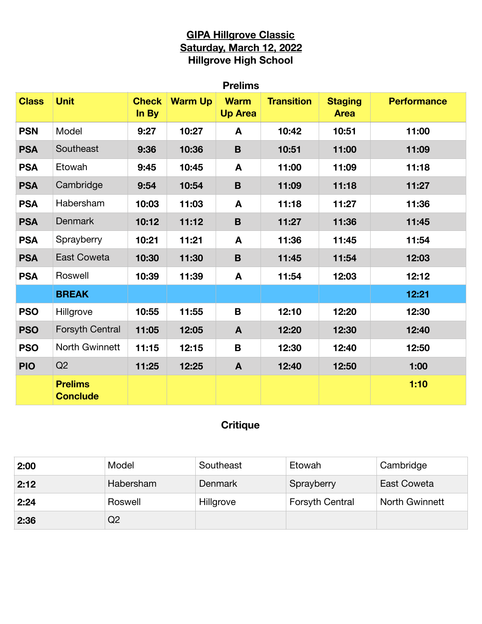# **GIPA Hillgrove Classic Saturday, March 12, 2022 Hillgrove High School**

| <b>Prelims</b> |                                   |                       |                |                               |                   |                               |                    |  |
|----------------|-----------------------------------|-----------------------|----------------|-------------------------------|-------------------|-------------------------------|--------------------|--|
| <b>Class</b>   | <b>Unit</b>                       | <b>Check</b><br>In By | <b>Warm Up</b> | <b>Warm</b><br><b>Up Area</b> | <b>Transition</b> | <b>Staging</b><br><b>Area</b> | <b>Performance</b> |  |
| <b>PSN</b>     | Model                             | 9:27                  | 10:27          | A                             | 10:42             | 10:51                         | 11:00              |  |
| <b>PSA</b>     | Southeast                         | 9:36                  | 10:36          | B                             | 10:51             | 11:00                         | 11:09              |  |
| <b>PSA</b>     | Etowah                            | 9:45                  | 10:45          | A                             | 11:00             | 11:09                         | 11:18              |  |
| <b>PSA</b>     | Cambridge                         | 9:54                  | 10:54          | B                             | 11:09             | 11:18                         | 11:27              |  |
| <b>PSA</b>     | Habersham                         | 10:03                 | 11:03          | A                             | 11:18             | 11:27                         | 11:36              |  |
| <b>PSA</b>     | <b>Denmark</b>                    | 10:12                 | 11:12          | B                             | 11:27             | 11:36                         | 11:45              |  |
| <b>PSA</b>     | Sprayberry                        | 10:21                 | 11:21          | A                             | 11:36             | 11:45                         | 11:54              |  |
| <b>PSA</b>     | <b>East Coweta</b>                | 10:30                 | 11:30          | B                             | 11:45             | 11:54                         | 12:03              |  |
| <b>PSA</b>     | Roswell                           | 10:39                 | 11:39          | A                             | 11:54             | 12:03                         | 12:12              |  |
|                | <b>BREAK</b>                      |                       |                |                               |                   |                               | 12:21              |  |
| <b>PSO</b>     | Hillgrove                         | 10:55                 | 11:55          | B                             | 12:10             | 12:20                         | 12:30              |  |
| <b>PSO</b>     | Forsyth Central                   | 11:05                 | 12:05          | $\mathbf{A}$                  | 12:20             | 12:30                         | 12:40              |  |
| <b>PSO</b>     | North Gwinnett                    | 11:15                 | 12:15          | B                             | 12:30             | 12:40                         | 12:50              |  |
| <b>PIO</b>     | Q2                                | 11:25                 | 12:25          | $\mathbf{A}$                  | 12:40             | 12:50                         | 1:00               |  |
|                | <b>Prelims</b><br><b>Conclude</b> |                       |                |                               |                   |                               | 1:10               |  |

# **Critique**

| 2:00 | Model     | Southeast | Etowah                 | Cambridge      |
|------|-----------|-----------|------------------------|----------------|
| 2:12 | Habersham | Denmark   | Sprayberry             | East Coweta    |
| 2:24 | Roswell   | Hillgrove | <b>Forsyth Central</b> | North Gwinnett |
| 2:36 | Q2        |           |                        |                |